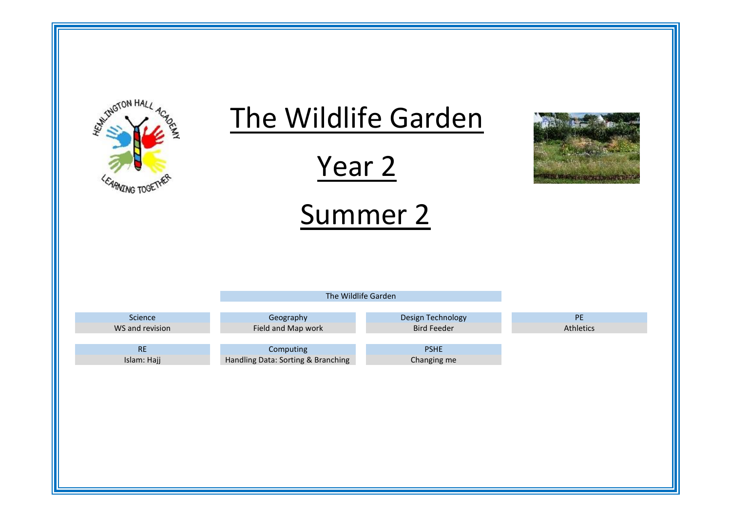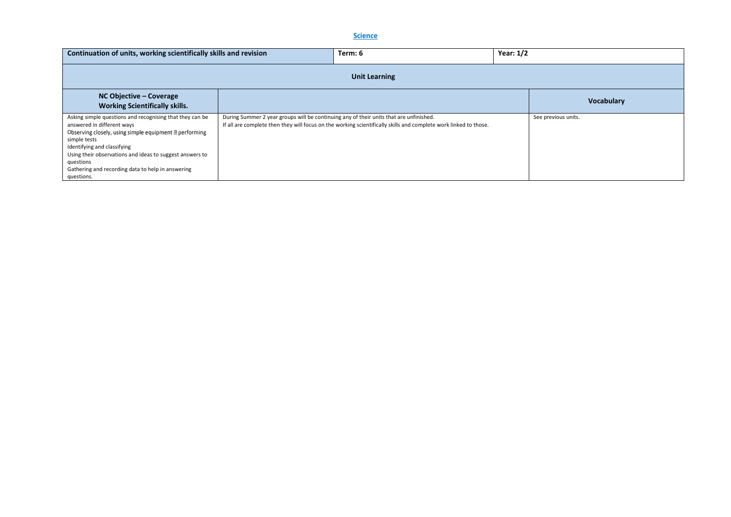### **Science**

| Continuation of units, working scientifically skills and revision                                                                                                                                                                                                                                                                                           |                                                                                                                                                                                                            | Term: 6           | Year: $1/2$ |                     |
|-------------------------------------------------------------------------------------------------------------------------------------------------------------------------------------------------------------------------------------------------------------------------------------------------------------------------------------------------------------|------------------------------------------------------------------------------------------------------------------------------------------------------------------------------------------------------------|-------------------|-------------|---------------------|
|                                                                                                                                                                                                                                                                                                                                                             |                                                                                                                                                                                                            |                   |             |                     |
| $NC$ Objective – Coverage<br><b>Working Scientifically skills.</b>                                                                                                                                                                                                                                                                                          |                                                                                                                                                                                                            | <b>Vocabulary</b> |             |                     |
| Asking simple questions and recognising that they can be<br>answered in different ways<br>Observing closely, using simple equipment <b>Depart of the Serving</b><br>simple tests<br>Identifying and classifying<br>Using their observations and ideas to suggest answers to<br>questions<br>Gathering and recording data to help in answering<br>questions. | During Summer 2 year groups will be continuing any of their units that are unfinished.<br>If all are complete then they will focus on the working scientifically skills and complete work linked to those. |                   |             | See previous units. |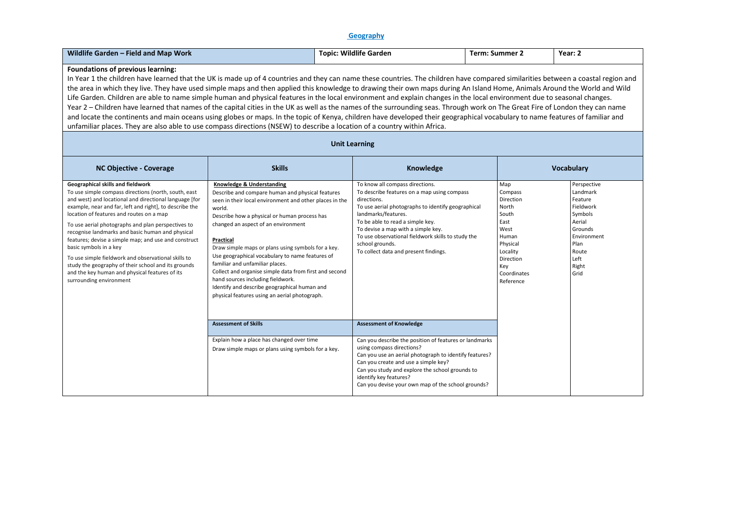### **Geography**

| Wildlife Garden - Field and Map Work                                                                                                                                                                                                                                                                                                                                                                                                                                                                                                                                                                                                                                                                                                                                                                                                                                                                                                                                                                                                                                                                            | <b>Topic: Wildlife Garden</b>                                                                                                                                                                                                                                                                                                                                                                                                                                                                                                                                                                      |  |                                                                                                                                                                                                                                                                                                                                                                        | <b>Term: Summer 2</b>                                                                                                                          | Year: 2                                                                                                                                  |  |  |  |
|-----------------------------------------------------------------------------------------------------------------------------------------------------------------------------------------------------------------------------------------------------------------------------------------------------------------------------------------------------------------------------------------------------------------------------------------------------------------------------------------------------------------------------------------------------------------------------------------------------------------------------------------------------------------------------------------------------------------------------------------------------------------------------------------------------------------------------------------------------------------------------------------------------------------------------------------------------------------------------------------------------------------------------------------------------------------------------------------------------------------|----------------------------------------------------------------------------------------------------------------------------------------------------------------------------------------------------------------------------------------------------------------------------------------------------------------------------------------------------------------------------------------------------------------------------------------------------------------------------------------------------------------------------------------------------------------------------------------------------|--|------------------------------------------------------------------------------------------------------------------------------------------------------------------------------------------------------------------------------------------------------------------------------------------------------------------------------------------------------------------------|------------------------------------------------------------------------------------------------------------------------------------------------|------------------------------------------------------------------------------------------------------------------------------------------|--|--|--|
| <b>Foundations of previous learning:</b><br>In Year 1 the children have learned that the UK is made up of 4 countries and they can name these countries. The children have compared similarities between a coastal region and<br>the area in which they live. They have used simple maps and then applied this knowledge to drawing their own maps during An Island Home, Animals Around the World and Wild<br>Life Garden. Children are able to name simple human and physical features in the local environment and explain changes in the local environment due to seasonal changes.<br>Year 2 - Children have learned that names of the capital cities in the UK as well as the names of the surrounding seas. Through work on The Great Fire of London they can name<br>and locate the continents and main oceans using globes or maps. In the topic of Kenya, children have developed their geographical vocabulary to name features of familiar and<br>unfamiliar places. They are also able to use compass directions (NSEW) to describe a location of a country within Africa.<br><b>Unit Learning</b> |                                                                                                                                                                                                                                                                                                                                                                                                                                                                                                                                                                                                    |  |                                                                                                                                                                                                                                                                                                                                                                        |                                                                                                                                                |                                                                                                                                          |  |  |  |
| <b>NC Objective - Coverage</b>                                                                                                                                                                                                                                                                                                                                                                                                                                                                                                                                                                                                                                                                                                                                                                                                                                                                                                                                                                                                                                                                                  | <b>Skills</b><br>Knowledge                                                                                                                                                                                                                                                                                                                                                                                                                                                                                                                                                                         |  |                                                                                                                                                                                                                                                                                                                                                                        |                                                                                                                                                |                                                                                                                                          |  |  |  |
| Geographical skills and fieldwork<br>To use simple compass directions (north, south, east<br>and west) and locational and directional language [for<br>example, near and far, left and right], to describe the<br>location of features and routes on a map<br>To use aerial photographs and plan perspectives to<br>recognise landmarks and basic human and physical<br>features; devise a simple map; and use and construct<br>basic symbols in a key<br>To use simple fieldwork and observational skills to<br>study the geography of their school and its grounds<br>and the key human and physical features of its<br>surrounding environment                                                                                                                                                                                                                                                                                                                                                                                                                                                               | Knowledge & Understanding<br>Describe and compare human and physical features<br>seen in their local environment and other places in the<br>world.<br>Describe how a physical or human process has<br>changed an aspect of an environment<br>Practical<br>Draw simple maps or plans using symbols for a key.<br>Use geographical vocabulary to name features of<br>familiar and unfamiliar places.<br>Collect and organise simple data from first and second<br>hand sources including fieldwork.<br>Identify and describe geographical human and<br>physical features using an aerial photograph. |  | To know all compass directions.<br>To describe features on a map using compass<br>directions.<br>To use aerial photographs to identify geographical<br>landmarks/features.<br>To be able to read a simple key.<br>To devise a map with a simple key.<br>To use observational fieldwork skills to study the<br>school grounds.<br>To collect data and present findings. | Map<br>Compass<br>Direction<br>North<br>South<br>East<br>West<br>Human<br>Physical<br>Locality<br>Direction<br>Key<br>Coordinates<br>Reference | Perspective<br>Landmark<br>Feature<br>Fieldwork<br>Symbols<br>Aerial<br>Grounds<br>Environment<br>Plan<br>Route<br>Left<br>Right<br>Grid |  |  |  |
|                                                                                                                                                                                                                                                                                                                                                                                                                                                                                                                                                                                                                                                                                                                                                                                                                                                                                                                                                                                                                                                                                                                 | <b>Assessment of Skills</b><br>Explain how a place has changed over time<br>Draw simple maps or plans using symbols for a key.                                                                                                                                                                                                                                                                                                                                                                                                                                                                     |  | <b>Assessment of Knowledge</b><br>Can you describe the position of features or landmarks<br>using compass directions?<br>Can you use an aerial photograph to identify features?<br>Can you create and use a simple key?<br>Can you study and explore the school grounds to<br>identify key features?<br>Can you devise your own map of the school grounds?             |                                                                                                                                                |                                                                                                                                          |  |  |  |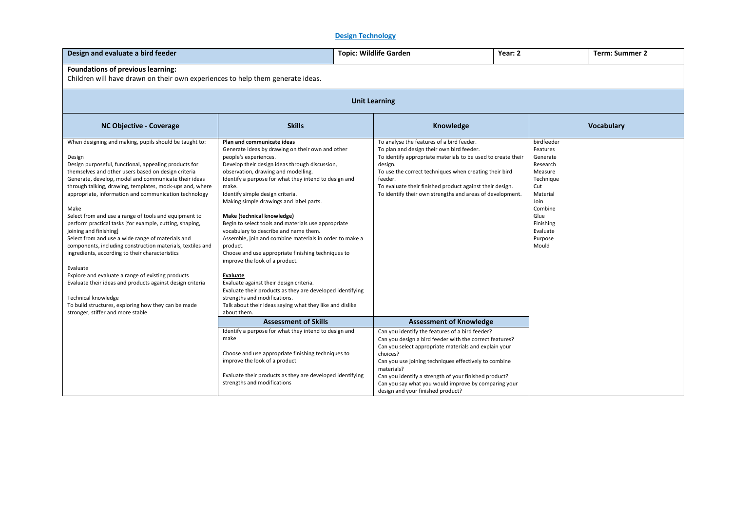# **Design Technology**

| Design and evaluate a bird feeder                                                                                                                                                                                                                                                                                                                                                                                                                                                                                                                                                                                                                                                                                                                                                                                                                                                                                                          |                                                                                                                                                                                                                                                                                                                                                                                                                                                                                                                                                                                                                                                                                                                                                                                                                                                                               | <b>Topic: Wildlife Garden</b> |                                                                                                                                                                                                                                                                                                                                               | Year: 2 |                                                                                                                                                                   | <b>Term: Summer 2</b> |  |
|--------------------------------------------------------------------------------------------------------------------------------------------------------------------------------------------------------------------------------------------------------------------------------------------------------------------------------------------------------------------------------------------------------------------------------------------------------------------------------------------------------------------------------------------------------------------------------------------------------------------------------------------------------------------------------------------------------------------------------------------------------------------------------------------------------------------------------------------------------------------------------------------------------------------------------------------|-------------------------------------------------------------------------------------------------------------------------------------------------------------------------------------------------------------------------------------------------------------------------------------------------------------------------------------------------------------------------------------------------------------------------------------------------------------------------------------------------------------------------------------------------------------------------------------------------------------------------------------------------------------------------------------------------------------------------------------------------------------------------------------------------------------------------------------------------------------------------------|-------------------------------|-----------------------------------------------------------------------------------------------------------------------------------------------------------------------------------------------------------------------------------------------------------------------------------------------------------------------------------------------|---------|-------------------------------------------------------------------------------------------------------------------------------------------------------------------|-----------------------|--|
| Foundations of previous learning:<br>Children will have drawn on their own experiences to help them generate ideas.                                                                                                                                                                                                                                                                                                                                                                                                                                                                                                                                                                                                                                                                                                                                                                                                                        |                                                                                                                                                                                                                                                                                                                                                                                                                                                                                                                                                                                                                                                                                                                                                                                                                                                                               |                               |                                                                                                                                                                                                                                                                                                                                               |         |                                                                                                                                                                   |                       |  |
| <b>Unit Learning</b>                                                                                                                                                                                                                                                                                                                                                                                                                                                                                                                                                                                                                                                                                                                                                                                                                                                                                                                       |                                                                                                                                                                                                                                                                                                                                                                                                                                                                                                                                                                                                                                                                                                                                                                                                                                                                               |                               |                                                                                                                                                                                                                                                                                                                                               |         |                                                                                                                                                                   |                       |  |
| <b>NC Objective - Coverage</b>                                                                                                                                                                                                                                                                                                                                                                                                                                                                                                                                                                                                                                                                                                                                                                                                                                                                                                             | <b>Skills</b>                                                                                                                                                                                                                                                                                                                                                                                                                                                                                                                                                                                                                                                                                                                                                                                                                                                                 |                               | <b>Vocabulary</b>                                                                                                                                                                                                                                                                                                                             |         |                                                                                                                                                                   |                       |  |
| When designing and making, pupils should be taught to:<br>Design<br>Design purposeful, functional, appealing products for<br>themselves and other users based on design criteria<br>Generate, develop, model and communicate their ideas<br>through talking, drawing, templates, mock-ups and, where<br>appropriate, information and communication technology<br>Make<br>Select from and use a range of tools and equipment to<br>perform practical tasks [for example, cutting, shaping,<br>joining and finishing]<br>Select from and use a wide range of materials and<br>components, including construction materials, textiles and<br>ingredients, according to their characteristics<br>Evaluate<br>Explore and evaluate a range of existing products<br>Evaluate their ideas and products against design criteria<br>Technical knowledge<br>To build structures, exploring how they can be made<br>stronger, stiffer and more stable | Plan and communicate ideas<br>Generate ideas by drawing on their own and other<br>people's experiences.<br>Develop their design ideas through discussion,<br>observation, drawing and modelling.<br>Identify a purpose for what they intend to design and<br>make.<br>Identify simple design criteria.<br>Making simple drawings and label parts.<br>Make (technical knowledge)<br>Begin to select tools and materials use appropriate<br>vocabulary to describe and name them.<br>Assemble, join and combine materials in order to make a<br>product.<br>Choose and use appropriate finishing techniques to<br>improve the look of a product.<br>Evaluate<br>Evaluate against their design criteria.<br>Evaluate their products as they are developed identifying<br>strengths and modifications.<br>Talk about their ideas saying what they like and dislike<br>about them. | design.<br>feeder.            | To analyse the features of a bird feeder.<br>To plan and design their own bird feeder.<br>To identify appropriate materials to be used to create their<br>To use the correct techniques when creating their bird<br>To evaluate their finished product against their design.<br>To identify their own strengths and areas of development.     |         | birdfeeder<br>Features<br>Generate<br>Research<br>Measure<br>Technique<br>Cut<br>Material<br>Join<br>Combine<br>Glue<br>Finishing<br>Evaluate<br>Purpose<br>Mould |                       |  |
|                                                                                                                                                                                                                                                                                                                                                                                                                                                                                                                                                                                                                                                                                                                                                                                                                                                                                                                                            | <b>Assessment of Skills</b>                                                                                                                                                                                                                                                                                                                                                                                                                                                                                                                                                                                                                                                                                                                                                                                                                                                   |                               | <b>Assessment of Knowledge</b>                                                                                                                                                                                                                                                                                                                |         |                                                                                                                                                                   |                       |  |
|                                                                                                                                                                                                                                                                                                                                                                                                                                                                                                                                                                                                                                                                                                                                                                                                                                                                                                                                            | Identify a purpose for what they intend to design and<br>make<br>Choose and use appropriate finishing techniques to<br>improve the look of a product<br>Evaluate their products as they are developed identifying<br>strengths and modifications                                                                                                                                                                                                                                                                                                                                                                                                                                                                                                                                                                                                                              | choices?<br>materials?        | Can you identify the features of a bird feeder?<br>Can you design a bird feeder with the correct features?<br>Can you select appropriate materials and explain your<br>Can you use joining techniques effectively to combine<br>Can you identify a strength of your finished product?<br>Can you say what you would improve by comparing your |         |                                                                                                                                                                   |                       |  |
|                                                                                                                                                                                                                                                                                                                                                                                                                                                                                                                                                                                                                                                                                                                                                                                                                                                                                                                                            |                                                                                                                                                                                                                                                                                                                                                                                                                                                                                                                                                                                                                                                                                                                                                                                                                                                                               |                               | design and your finished product?                                                                                                                                                                                                                                                                                                             |         |                                                                                                                                                                   |                       |  |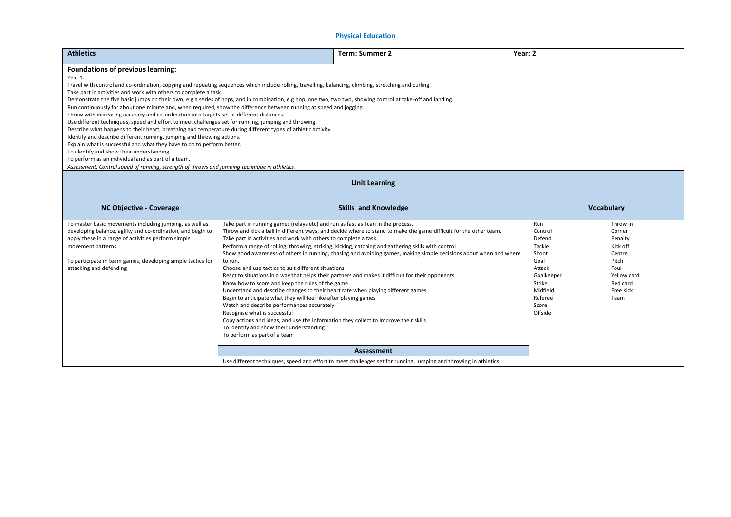### **Physical Education**

| <b>Athletics</b>                                                                                                                                                                                                                                                                                                                                                                                                                                                                                                                                                                                                                                                                                                                                                                                                                                                                                                                                                                                                                                                                                                                                                                                                                                     |                                                                                                                                                                                                                                                                                                                                                                                                                                                                                                                                                                                                                                                                                      | <b>Term: Summer 2</b>                                                                                                                                                                                                                                                                                                                                                                                                                                | Year: 2                                                                                                                          |                                                                                                                      |  |  |  |
|------------------------------------------------------------------------------------------------------------------------------------------------------------------------------------------------------------------------------------------------------------------------------------------------------------------------------------------------------------------------------------------------------------------------------------------------------------------------------------------------------------------------------------------------------------------------------------------------------------------------------------------------------------------------------------------------------------------------------------------------------------------------------------------------------------------------------------------------------------------------------------------------------------------------------------------------------------------------------------------------------------------------------------------------------------------------------------------------------------------------------------------------------------------------------------------------------------------------------------------------------|--------------------------------------------------------------------------------------------------------------------------------------------------------------------------------------------------------------------------------------------------------------------------------------------------------------------------------------------------------------------------------------------------------------------------------------------------------------------------------------------------------------------------------------------------------------------------------------------------------------------------------------------------------------------------------------|------------------------------------------------------------------------------------------------------------------------------------------------------------------------------------------------------------------------------------------------------------------------------------------------------------------------------------------------------------------------------------------------------------------------------------------------------|----------------------------------------------------------------------------------------------------------------------------------|----------------------------------------------------------------------------------------------------------------------|--|--|--|
| <b>Foundations of previous learning:</b><br>Year 1:<br>Travel with control and co-ordination, copying and repeating sequences which include rolling, travelling, balancing, climbing, stretching and curling.<br>Take part in activities and work with others to complete a task.<br>Demonstrate the five basic jumps on their own, e.g a series of hops, and in combination, e.g hop, one two, two two, showing control at take-off and landing.<br>Run continuously for about one minute and, when required, show the difference between running at speed and jogging.<br>Throw with increasing accuracy and co-ordination into targets set at different distances.<br>Use different techniques, speed and effort to meet challenges set for running, jumping and throwing.<br>Describe what happens to their heart, breathing and temperature during different types of athletic activity.<br>Identify and describe different running, jumping and throwing actions.<br>Explain what is successful and what they have to do to perform better.<br>To identify and show their understanding.<br>To perform as an individual and as part of a team.<br>Assessment: Control speed of running, strength of throws and jumping technique in athletics. |                                                                                                                                                                                                                                                                                                                                                                                                                                                                                                                                                                                                                                                                                      |                                                                                                                                                                                                                                                                                                                                                                                                                                                      |                                                                                                                                  |                                                                                                                      |  |  |  |
| <b>Unit Learning</b>                                                                                                                                                                                                                                                                                                                                                                                                                                                                                                                                                                                                                                                                                                                                                                                                                                                                                                                                                                                                                                                                                                                                                                                                                                 |                                                                                                                                                                                                                                                                                                                                                                                                                                                                                                                                                                                                                                                                                      |                                                                                                                                                                                                                                                                                                                                                                                                                                                      |                                                                                                                                  |                                                                                                                      |  |  |  |
| <b>NC Objective - Coverage</b>                                                                                                                                                                                                                                                                                                                                                                                                                                                                                                                                                                                                                                                                                                                                                                                                                                                                                                                                                                                                                                                                                                                                                                                                                       | <b>Skills and Knowledge</b><br><b>Vocabulary</b>                                                                                                                                                                                                                                                                                                                                                                                                                                                                                                                                                                                                                                     |                                                                                                                                                                                                                                                                                                                                                                                                                                                      |                                                                                                                                  |                                                                                                                      |  |  |  |
| To master basic movements including jumping, as well as<br>developing balance, agility and co-ordination, and begin to<br>apply these in a range of activities perform simple<br>movement patterns.<br>To participate in team games, developing simple tactics for<br>attacking and defending                                                                                                                                                                                                                                                                                                                                                                                                                                                                                                                                                                                                                                                                                                                                                                                                                                                                                                                                                        | Take part in running games (relays etc) and run as fast as I can in the process.<br>Take part in activities and work with others to complete a task.<br>to run.<br>Choose and use tactics to suit different situations<br>Know how to score and keep the rules of the game<br>Understand and describe changes to their heart rate when playing different games<br>Begin to anticipate what they will feel like after playing games<br>Watch and describe performances accurately<br>Recognise what is successful<br>Copy actions and ideas, and use the information they collect to improve their skills<br>To identify and show their understanding<br>To perform as part of a team | Throw and kick a ball in different ways, and decide where to stand to make the game difficult for the other team.<br>Perform a range of rolling, throwing, striking, kicking, catching and gathering skills with control<br>Show good awareness of others in running, chasing and avoiding games, making simple decisions about when and where<br>React to situations in a way that helps their partners and makes it difficult for their opponents. | Run<br>Control<br>Defend<br>Tackle<br>Shoot<br>Goal<br>Attack<br>Goalkeeper<br>Strike<br>Midfield<br>Referee<br>Score<br>Offside | Throw in<br>Corner<br>Penalty<br>Kick off<br>Centre<br>Pitch<br>Foul<br>Yellow card<br>Red card<br>Free kick<br>Team |  |  |  |
|                                                                                                                                                                                                                                                                                                                                                                                                                                                                                                                                                                                                                                                                                                                                                                                                                                                                                                                                                                                                                                                                                                                                                                                                                                                      |                                                                                                                                                                                                                                                                                                                                                                                                                                                                                                                                                                                                                                                                                      | <b>Assessment</b>                                                                                                                                                                                                                                                                                                                                                                                                                                    |                                                                                                                                  |                                                                                                                      |  |  |  |

Use different techniques, speed and effort to meet challenges set for running, jumping and throwing in athletics.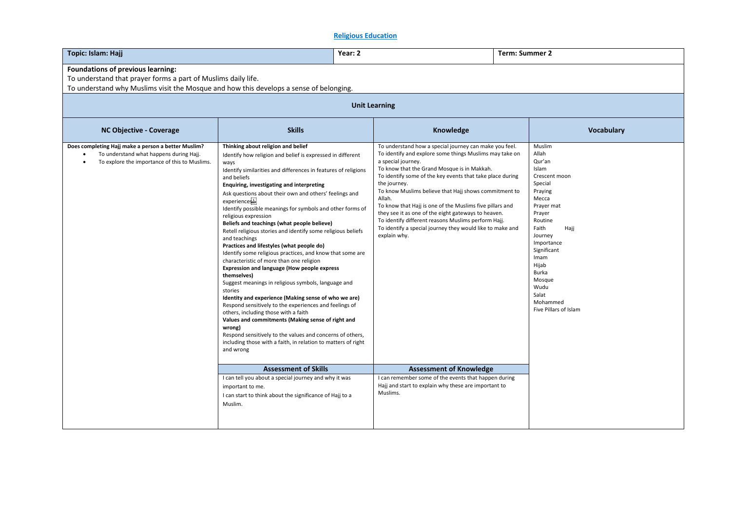### **Religious Education**

| Topic: Islam: Hajj                                                                                                                              |                                                                                                                                                                                                                                                                                                                                                                                                                                                                                                                                                                                                                                                                                                                                                                                                                                                                                                                                                                                                                                                                                                                                                                                                | Year: 2                                                      |                                                                                                                                                                                                                                                                                                                                                                                                                                                                                                                               |  | <b>Term: Summer 2</b>                                                                                                                                                                                                                                                    |  |  |
|-------------------------------------------------------------------------------------------------------------------------------------------------|------------------------------------------------------------------------------------------------------------------------------------------------------------------------------------------------------------------------------------------------------------------------------------------------------------------------------------------------------------------------------------------------------------------------------------------------------------------------------------------------------------------------------------------------------------------------------------------------------------------------------------------------------------------------------------------------------------------------------------------------------------------------------------------------------------------------------------------------------------------------------------------------------------------------------------------------------------------------------------------------------------------------------------------------------------------------------------------------------------------------------------------------------------------------------------------------|--------------------------------------------------------------|-------------------------------------------------------------------------------------------------------------------------------------------------------------------------------------------------------------------------------------------------------------------------------------------------------------------------------------------------------------------------------------------------------------------------------------------------------------------------------------------------------------------------------|--|--------------------------------------------------------------------------------------------------------------------------------------------------------------------------------------------------------------------------------------------------------------------------|--|--|
| <b>Foundations of previous learning:</b><br>To understand that prayer forms a part of Muslims daily life.                                       |                                                                                                                                                                                                                                                                                                                                                                                                                                                                                                                                                                                                                                                                                                                                                                                                                                                                                                                                                                                                                                                                                                                                                                                                |                                                              |                                                                                                                                                                                                                                                                                                                                                                                                                                                                                                                               |  |                                                                                                                                                                                                                                                                          |  |  |
| To understand why Muslims visit the Mosque and how this develops a sense of belonging.                                                          |                                                                                                                                                                                                                                                                                                                                                                                                                                                                                                                                                                                                                                                                                                                                                                                                                                                                                                                                                                                                                                                                                                                                                                                                |                                                              |                                                                                                                                                                                                                                                                                                                                                                                                                                                                                                                               |  |                                                                                                                                                                                                                                                                          |  |  |
| <b>Unit Learning</b>                                                                                                                            |                                                                                                                                                                                                                                                                                                                                                                                                                                                                                                                                                                                                                                                                                                                                                                                                                                                                                                                                                                                                                                                                                                                                                                                                |                                                              |                                                                                                                                                                                                                                                                                                                                                                                                                                                                                                                               |  |                                                                                                                                                                                                                                                                          |  |  |
| <b>NC Objective - Coverage</b>                                                                                                                  | <b>Skills</b>                                                                                                                                                                                                                                                                                                                                                                                                                                                                                                                                                                                                                                                                                                                                                                                                                                                                                                                                                                                                                                                                                                                                                                                  |                                                              | <b>Vocabulary</b>                                                                                                                                                                                                                                                                                                                                                                                                                                                                                                             |  |                                                                                                                                                                                                                                                                          |  |  |
| Does completing Hajj make a person a better Muslim?<br>To understand what happens during Hajj.<br>To explore the importance of this to Muslims. | Thinking about religion and belief<br>Identify how religion and belief is expressed in different<br>ways<br>Identify similarities and differences in features of religions<br>and beliefs<br>Enquiring, investigating and interpreting<br>Ask questions about their own and others' feelings and<br>experiences<br>Identify possible meanings for symbols and other forms of<br>religious expression<br>Beliefs and teachings (what people believe)<br>Retell religious stories and identify some religious beliefs<br>and teachings<br>Practices and lifestyles (what people do)<br>Identify some religious practices, and know that some are<br>characteristic of more than one religion<br>Expression and language (How people express<br>themselves)<br>Suggest meanings in religious symbols, language and<br>stories<br>Identity and experience (Making sense of who we are)<br>Respond sensitively to the experiences and feelings of<br>others, including those with a faith<br>Values and commitments (Making sense of right and<br>wrong)<br>Respond sensitively to the values and concerns of others,<br>including those with a faith, in relation to matters of right<br>and wrong | a special journey.<br>the journey.<br>Allah.<br>explain why. | To understand how a special journey can make you feel.<br>To identify and explore some things Muslims may take on<br>To know that the Grand Mosque is in Makkah.<br>To identify some of the key events that take place during<br>To know Muslims believe that Hajj shows commitment to<br>To know that Hajj is one of the Muslims five pillars and<br>they see it as one of the eight gateways to heaven.<br>To identify different reasons Muslims perform Hajj.<br>To identify a special journey they would like to make and |  | Muslim<br>Allah<br>Qur'an<br>Islam<br>Crescent moon<br>Special<br>Praying<br>Mecca<br>Prayer mat<br>Prayer<br>Routine<br>Faith<br>Hajj<br>Journey<br>Importance<br>Significant<br>Imam<br>Hijab<br>Burka<br>Mosque<br>Wudu<br>Salat<br>Mohammed<br>Five Pillars of Islam |  |  |
|                                                                                                                                                 | <b>Assessment of Skills</b>                                                                                                                                                                                                                                                                                                                                                                                                                                                                                                                                                                                                                                                                                                                                                                                                                                                                                                                                                                                                                                                                                                                                                                    |                                                              | <b>Assessment of Knowledge</b>                                                                                                                                                                                                                                                                                                                                                                                                                                                                                                |  |                                                                                                                                                                                                                                                                          |  |  |
|                                                                                                                                                 | I can tell you about a special journey and why it was<br>important to me.<br>I can start to think about the significance of Hajj to a<br>Muslim.                                                                                                                                                                                                                                                                                                                                                                                                                                                                                                                                                                                                                                                                                                                                                                                                                                                                                                                                                                                                                                               | Muslims.                                                     | I can remember some of the events that happen during<br>Hajj and start to explain why these are important to                                                                                                                                                                                                                                                                                                                                                                                                                  |  |                                                                                                                                                                                                                                                                          |  |  |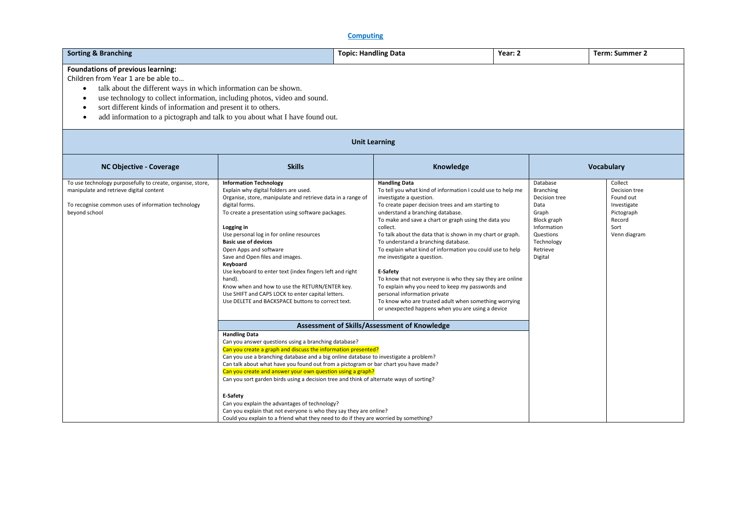# **Computing**

| <b>Sorting &amp; Branching</b><br><b>Topic: Handling Data</b>                                                                                                                                                                                                                                                                                                                                                          |                                                                                                                                                                                                                                                                                                                                                                                                                                                                                                                                                                                                                                                                                                                                                                  |                      | Year: 2                                                                                                                                                                                                                                                                                                                                                                                                                                                                                                                                                                                                                                                                                                                                                |  | <b>Term: Summer 2</b>                                                                                                                          |                                                                                                      |  |
|------------------------------------------------------------------------------------------------------------------------------------------------------------------------------------------------------------------------------------------------------------------------------------------------------------------------------------------------------------------------------------------------------------------------|------------------------------------------------------------------------------------------------------------------------------------------------------------------------------------------------------------------------------------------------------------------------------------------------------------------------------------------------------------------------------------------------------------------------------------------------------------------------------------------------------------------------------------------------------------------------------------------------------------------------------------------------------------------------------------------------------------------------------------------------------------------|----------------------|--------------------------------------------------------------------------------------------------------------------------------------------------------------------------------------------------------------------------------------------------------------------------------------------------------------------------------------------------------------------------------------------------------------------------------------------------------------------------------------------------------------------------------------------------------------------------------------------------------------------------------------------------------------------------------------------------------------------------------------------------------|--|------------------------------------------------------------------------------------------------------------------------------------------------|------------------------------------------------------------------------------------------------------|--|
| Foundations of previous learning:<br>Children from Year 1 are be able to<br>talk about the different ways in which information can be shown.<br>$\bullet$<br>use technology to collect information, including photos, video and sound.<br>$\bullet$<br>sort different kinds of information and present it to others.<br>٠<br>add information to a pictograph and talk to you about what I have found out.<br>$\bullet$ |                                                                                                                                                                                                                                                                                                                                                                                                                                                                                                                                                                                                                                                                                                                                                                  |                      |                                                                                                                                                                                                                                                                                                                                                                                                                                                                                                                                                                                                                                                                                                                                                        |  |                                                                                                                                                |                                                                                                      |  |
|                                                                                                                                                                                                                                                                                                                                                                                                                        |                                                                                                                                                                                                                                                                                                                                                                                                                                                                                                                                                                                                                                                                                                                                                                  | <b>Unit Learning</b> |                                                                                                                                                                                                                                                                                                                                                                                                                                                                                                                                                                                                                                                                                                                                                        |  |                                                                                                                                                |                                                                                                      |  |
| <b>NC Objective - Coverage</b>                                                                                                                                                                                                                                                                                                                                                                                         | <b>Skills</b>                                                                                                                                                                                                                                                                                                                                                                                                                                                                                                                                                                                                                                                                                                                                                    |                      | Knowledge                                                                                                                                                                                                                                                                                                                                                                                                                                                                                                                                                                                                                                                                                                                                              |  | Vocabulary                                                                                                                                     |                                                                                                      |  |
| To use technology purposefully to create, organise, store,<br>manipulate and retrieve digital content<br>To recognise common uses of information technology<br>beyond school                                                                                                                                                                                                                                           | <b>Information Technology</b><br>Explain why digital folders are used.<br>Organise, store, manipulate and retrieve data in a range of<br>digital forms.<br>To create a presentation using software packages.<br>Logging in<br>Use personal log in for online resources<br><b>Basic use of devices</b><br>Open Apps and software<br>Save and Open files and images.<br>Keyboard<br>Use keyboard to enter text (index fingers left and right<br>hand).<br>Know when and how to use the RETURN/ENTER key.<br>Use SHIFT and CAPS LOCK to enter capital letters.<br>Use DELETE and BACKSPACE buttons to correct text.                                                                                                                                                 |                      | <b>Handling Data</b><br>To tell you what kind of information I could use to help me<br>investigate a question.<br>To create paper decision trees and am starting to<br>understand a branching database.<br>To make and save a chart or graph using the data you<br>collect.<br>To talk about the data that is shown in my chart or graph.<br>To understand a branching database.<br>To explain what kind of information you could use to help<br>me investigate a question.<br>E-Safety<br>To know that not everyone is who they say they are online<br>To explain why you need to keep my passwords and<br>personal information private<br>To know who are trusted adult when something worrying<br>or unexpected happens when you are using a device |  | Database<br><b>Branching</b><br>Decision tree<br>Data<br>Graph<br>Block graph<br>Information<br>Questions<br>Technology<br>Retrieve<br>Digital | Collect<br>Decision tree<br>Found out<br>Investigate<br>Pictograph<br>Record<br>Sort<br>Venn diagram |  |
|                                                                                                                                                                                                                                                                                                                                                                                                                        | Assessment of Skills/Assessment of Knowledge<br><b>Handling Data</b><br>Can you answer questions using a branching database?<br>Can you create a graph and discuss the information presented?<br>Can you use a branching database and a big online database to investigate a problem?<br>Can talk about what have you found out from a pictogram or bar chart you have made?<br>Can you create and answer your own question using a graph?<br>Can you sort garden birds using a decision tree and think of alternate ways of sorting?<br>E-Safety<br>Can you explain the advantages of technology?<br>Can you explain that not everyone is who they say they are online?<br>Could you explain to a friend what they need to do if they are worried by something? |                      |                                                                                                                                                                                                                                                                                                                                                                                                                                                                                                                                                                                                                                                                                                                                                        |  |                                                                                                                                                |                                                                                                      |  |